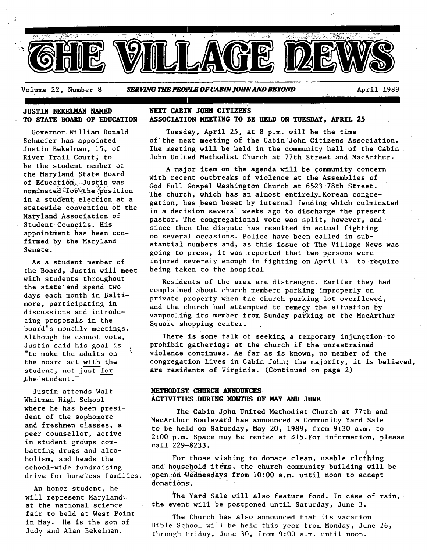

Volume 22, Number 8 **SERVING THE PEOPLE OF CABIN JOHN AND BEYOND April 1989** 

#### **JUSTIN BEKELMAN NAMED TO STATE BOARD OF EDUCATION**

Governor, William Donald Schaefer has appointed Justin Bekelman, 15, of River Trail Court, to be the student member of the Maryland State Board of Education. Justin was nominated;for the position in a student election at a statewide convention of the Maryland Association of Student Councils. His appointment has been confirmed by the Maryland Senate.

As a student member of the Board, Justin will meet with students throughout the state and spend two days each month in Baltimore, participating in discussions and introducing proposals in the board's monthly meetings. Although he cannot vote, Justin said his goal is "to make the adults on the board act with the student, not just for ;the student."

Justin attends Walt Whitman High School where he has been president of the sophomore and freshmen classes, a peer counsellor, active in student groups combatting drugs and alcoholism, and heads the school-wide fundraising drive for homeless families.

An honor student, he will represent Maryland at the national science fair to beld at West Point in May. He is the son of Judy and Alan Bekelman.

#### **NEXT CABIN JOHN CITIZENS ASSOCIATION MEETING TO BE HEID ON TUESDAY, APRIL 25**

Tuesday, April 25, at 8 p.m. will be the time of'the next meeting of the Cabin John Citizens Association. The meeting will be held in the community hall of the Cabin John United Methodist Church at 77th Street and MacArthur.

A major item on the agenda will be COmmunity concern with recent outbreaks of violence at the Assemblles of God Full Gospel Washington Church at 6523 78th Street. The church, which has an almost entirely\_Korean congregation, has been beset by internal feuding which culminated in a decision several weeks ago to discharge the present pastor. The congregational vote was split, however, and since then the dispute has resulted in actual fighting on several occasions. Police have been called in substantial numbers and, as this issue of The Village News was going to press, it was reported that two persons were injured severely enough in fighting on April 14 to-require being taken to the hospital

Residents of the area are distraught. Earlier they had complained about church members parking improperly on private property when the church parking lot overflowed, and the church had attempted to remedy the situation by vanpooling its member from Sunday parking at the MacArthur Square shopping center.

There is some talk of seeking a temporary injunction to prohibit gatherings at the church if the unrestrained violence continues. As far as is known, no member of the congregation lives in Cabin John; the majority, it is believed, are residents of Virginia. (Continued on page 2)

#### **METHODIST CHURCH ANNOUNCES' ACTIVITIES DURING MONTHS OF MAY AND JUNE**

The Cabin John United Methodist Church at 77th and MacArthur Boulevard has announced a Community Yard Sale to be held on Saturday, May 20, 1989, from 9:30 a.m. to 2:00 p.m. Space may be rented at \$15.For information, please call 229-8233.

**#**  For those wishing to donate clean, usable clothing and h0usehold items, the church community building will be open on Wednesdays from 10:00 a.m. until noon to accept donations.

The Yard Sale will also feature food. In case of rain, the event will be postponed until Saturday, June 3.

The Church has also announced that its vacation Bible School will be held this year from Monday, June 26, through Friday, June 30, from 9:00 a.m. until noon.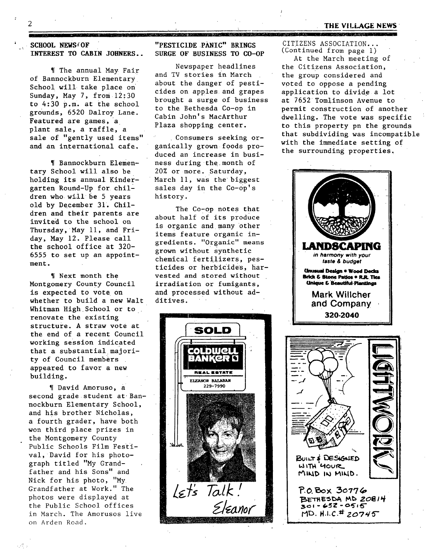#### **THE VILLAGE NEWS**

**SCHOOL NEWS OF INTEREST TO CABIN JOHNERS..** 

r

~[ The annual May Fair of Bannockburn Elementary School will take place on Sunday, May 7, from 12;30 to 4:30 p.m. at the school grounds, 6520 Dalroy Lane. Featured are games, a plant sale, a raffle, a sale of "gently used items" and an international cafe.

I[ Bannockburn Elementary School will also be holding its annual Kindergarten Round-Up for children who will be 5 years old by December 31. Children and their parents are invited to the school on Thursday, May 11, and Friday, May 12. Please call the school office at 320- 6555 to set up an appointment.

~[ Next month the Montgomery County Council is expected to vote on whether to build a new Walt Whitman High School or to. renovate the existing structure. A straw vote at the end of a recent Council working session indicated that a substantial majority of Council members appeared to favor a new building.

I[ David Amoruso, a second grade student at Bannockburn Elementary School, and his brother Nicholas, a fourth grader, have both won third place prizes in the Montgomery County Public Schools Film Festival, David for his photograph titled "My Grandfather and his Sons" and Nick for his photo, "My Grandfather at Work." The photos were displayed at the Public School offices in March. The Amorusos live on Arden Road.

**"PESTICIDE PANIC" BRINGS SURGE OF BUSINESS TO CO-OP** 

Newspaper headlines and TV stories in March about the danger of pesticides on apples and grapes brought a surge of business to the Bethesda Co-op in Cabin John's MacArthur Plaza shopping center.

Consumers seeking organically grown foods produced an increase in business during the month of 20% or more. Saturday, March 11, was the biggest sales day in the Co-op's history.

The Co-op notes that about half of its produce is organic and many other items feature organic ingredients. "Organic" means grown without synthetic chemical fertilizers, pesticides or herbicides, harvested and stored without irradiation or fumigants, and processed without additives.



CITIZENS ASSOCIATION... (Continued from page i)

\_,\_ tl .....

At the March meeting of the Citizens Association, the group considered and voted to oppose a pending application to divide a lot at 7652 Tomlinson Avenue to permit construction of another dwelling. The vote was specific to this property pn the grounds that subdividing was incompatible with the immediate setting of the surrounding properties

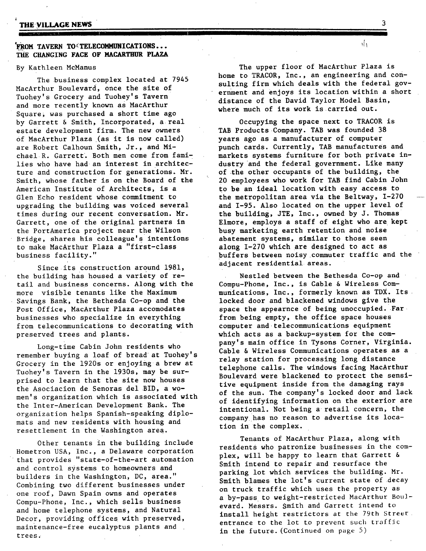#### **PROM TAVERN TO TELECOMMUNICATIONS...** THE CHANGING **FACE OF MACARTHUR PLAZA**

**II I Im I** 

#### By Kathleen McManus

The business complex located at 7945 MacArthur Boulevard, once the site of Tuohey's Grocery and Tuohey's Tavern and more recently known as MacArthur Square, was purchased a short time ago by Garrett & Smith, Incorporated, a real estate development firm. The new owners Of MacArthur Plaza (as it is now called) are Robert Calhoun Smith, Jr., and Michael R. Garrett. Both men come from families who have had an interest in architecture and construction for generations. Mr. Smith, whose father is on the Board of the American Institute of Architects, is a Glen Echo resident whose commitment to upgrading the building was voiced several times during our recent conversation. Mr. Garrett, one of the original partners in the PortAmerica project near the Wilson Bridge, shares his colleague's intentions to make MacArthur Plaza a "first-class business facility."

Since its construction around 1981, the building has housed a variety of retail and business concerns. Along with the more visible tenants like the Maximum Savings Bank, the Bethesda Co-op and the Post Office, MacArthur Plaza accomodates businesses who specialize in everything from telecommunications to decorating with preserved trees and plants.

Long-time Cabin John residents who remember buying a loaf of bread at Tuohey's Grocery in the 1920s or enjoying a brew at Tuohey's Tavern in the 1930s, may be surprised to learn that the site now houses the Asociacion de Senoras del BID, a women's organization which is associated with the Inter-American Development Bank. The organization helps Spanish-speaking diplomats and new residents with housing and resettlement in the Washington area.

Other tenants in the building include Hometron USA, Inc., a Delaware corporation that provides "state-of-the-art automation and control systems to homeowners and builders in the Washington, DC, area." Combining two different businesses under one roof, Dawn Spain owns and operates Compu-Phone, Inc., which sells business and home telephone systems, and Natural Decor, providing offices with preserved, maintenance-free eucalyptus plants and trees.

시도

The upper floor of MacArthur Plaza is home to TRACOR, Inc., an engineering and consulting firm which deals with the federal government and enjoys its location within a short distance of the David Taylor Model Basin, where much of its work is carried out.

Occupying the space next to TRACOR is TAB Products Company. TAB was founded 38 years ago as a manufacturer of computer punch cards. Currently, TAB manufactures and markets systems furniture for both private industry and the federal government. Like many of the other occupants of the building, the 20 employees who work for TAB find Cabin John to be an ideal location with easy access to the metropolitan area via the Beltway, 1-270 and 1-95. Also located on the upper level of the building, JTE, Inc., owned by J. Thomas Elmore, employs a staff of eight who are kept busy marketing earth retention and noise abatement systems, similar to those seen along 1-270 which are designed to act as buffers between noisy commuter traffic and the adjacent residential areas.

Nestled between the Bethesda Co-op and Compu-Phone, Inc., is Cable & Wireless Communications, Inc., formerly known as TDX. Its locked door and blackened windows give the space the appearnce of being unoccupied. Far from being empty, the office space houses computer and telecommunications equipment which acts as a backup-system for the company's main office in Tysons Corner, Virginia. Cable & Wireless Communications operates as a relay station for processing long distance telephone calls. The windows facing MacArthur Boulevard were blackened to protect the sensitive equipment inside from the damaging rays of the sun. The company's locked door and lack of identifying information on the exterior are intentional. Not being a retail concern, the companylhas no reason to advertise its location in the complex.

Tenants of MacArthur Plaza, along with residents who patronize businesses in the complex, will be happy to learn that Garrett & Smith intend to repair and resurface the parking lot which services the building. Mr. Smith blames the lot's current state of decay on truck traffic which uses the property as a by-pass to weight-restricted MacArthur Bou] evard. Messrs. Smith and Garrett intend to install height restrictors at the 79th Street. entrance to the lot to prevent such traffic in the future. (Continued on page 5)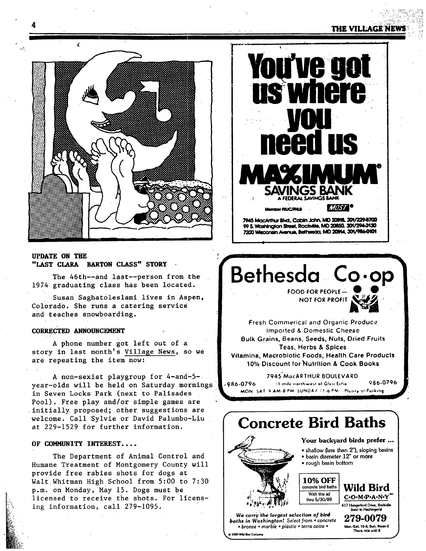### **4** THE VILLAGE NE

" i" ' ,'T , .... , "



#### UPDATE OH **TBE**  "LAST CLARA BARTON CLASS" STORY

The 46th--and last--person from the 1974 graduating class has been located.

Susan Saghat01eslami lives in Aspen, Colorado. She runs a catering service and teaches snowboarding.

#### **CORRECTED ANNOUNCEMENT**

A phone number got left out of a story in last month's Village News, so we are repeating the item now:

A non-sexist playgroup for 4-and-5-• year-olds will be held on Saturday mornings in Seven Locks Park (next to Palisades Pool). Free play and/or simple games are initially proposed; other suggestions are welcome. Call Sylvie or David Palumbo-Liu at 229-1529 for further information.

#### OF COMMUNITY INTEREST....

The Department of Animal Control and Humane Treatment of Montgomery County will provide free rabies shots for dogs at Walt Whitman High School from 5:00 to 7:30 p.m. on Monday, May 15. Dogs must be licensed to receive the shots. For licensing information, call 279-I095.



99 S. Washington Street, Rockville, MD 20850, 301/294-3130 7200 Wisconsin Avenue, Bethesda, MD 20814, 301/986-0101

# Bethesda Co.op

FOOD FOR PEOPLE NOT FOR PROFIT



Fresh Commerical and Organic Produce Imporled & Domestic Cheese **Bulk Grains,** Beans, Seeds, Nuts, Dried **Fruits**  Teas, Herbs & Spices **Vitamina, Macrobiotic Foods, Health Care Products** 10% Discount for'Nutrition & Cook Books

7945"MocARTHUR BOULEVARD ,986-0796 :1 mile northwest of Glen Echo = 086-0796 MON SAT 9 AM-8 PM SUNDAY 11-6 PM. Plenty of Purking

## **Concrete Bird Baths**



- basin diameter 12" or more
- rough basin bottom



*We carry the largest selection o] bird baths in Washington! Select from • concrete • bronze • marble • plastic • terra cotta •*  1989 Wild Bird Company

- C-O-M-P-A-N-Y 617 Hungerford Drive, Rockville .<br>vi in Herbingeral
	- **279-0079**  Mo~.-SaL 10-6; Sun. **Noon -j;**  Thurs. rite until 8

J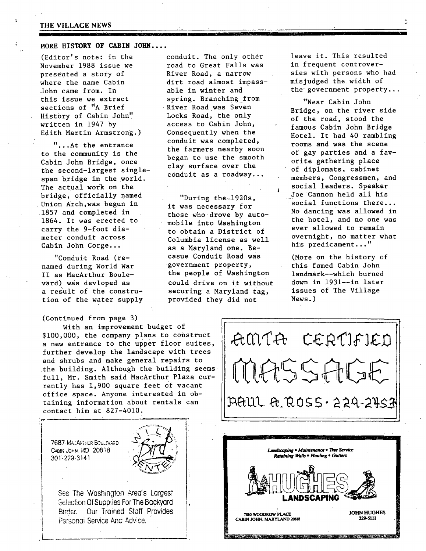### THE VILLAGE NEWS **THE VILLAGE NEWS**

#### MORE **HISTORY OF** CABIN JOHN ....

(Editor's note: in the November 1988 issue we presented a story of where the name Cabin John came from. In this issue we extract sections of "A Brief History of Cabin John'! written in 1947 by Edith Martin Armstrong.)

"...At the entrance to the community is the Cabin John Bridge, once the second-largest singlespan bridge in the world. The actual work on the bridge, officially named Union Arch,was begun in 1857 and completed in 1864. It was erected to carry the 9-foot diameter conduit across Cabin John Gorge...

"Conduit Road (renamed during World War II as MacArthur Boulevard) was devloped as a result of the constrution of the water supply

#### (Continued from page 3)

With an improvement budget of \$100,000, the company plans to construct a new entrance to the upper floor suites, further develop the landscape with trees and shrubs and make general repairs to the building. Although the building seems full, Mr. Smith said MacArthur Plaza currently has 1,900 square feet of vacant office space. Anyone interested in obtaining information about rentals can contact him at 827-4010.

**CABIN JOHN, MD 20818** 7687 MACAFTHUR BOULEVARD 301-229-314]

**I !** 

**I** 

!

L



**I !**  See The Washington Area's Largest Selection Of Supplies For The Backyard Birder. Our Trained Staff Provides Personal Service And Advice.

conduit. The only other road to Great Falls was River Road, a narrow dirt road almost impassable in winter and spring. Branching from River Road was Seven Locks Road, the only access to Cabin John, Consequently when the conduit was completed, the farmers nearby soon began to use the smooth clay surface over the conduit as a roadway...

"During the-1920s, it was necessary for those who drove by automobile into Washington to obtain a District of Columbia license as well as a Maryland one. Becasue Conduit Road was government property, the people of Washington could drive on it without securing a Maryland tag, provided they did not

leave it. This resulted in frequent controversies with persons who had misjudged the width of the'government property...

"Near Cabin John Bridge, on the river side of the road, stood the famous Cabin John Bridge Hotel. It had 40 rambling rooms and was the scene of gay parties and a favorite gathering place of diplomats, cabinet members, Congressmen, and social leaders. Speaker Joe Cannon held all his social functions there... No dancing was allowed in the hotel, and no one was ever allowed to remain overnight, no matter what his predicament..."

(More on the history of this famed Cabin John landmark--which burned down in 1931--in later issues of The Village News.)





**7810 WOODROW PLACE 1988**<br>1991 TO HALLY AND 2008 AND 2008 229-5111 **CABIN JOHN, MARYLAND 20818**